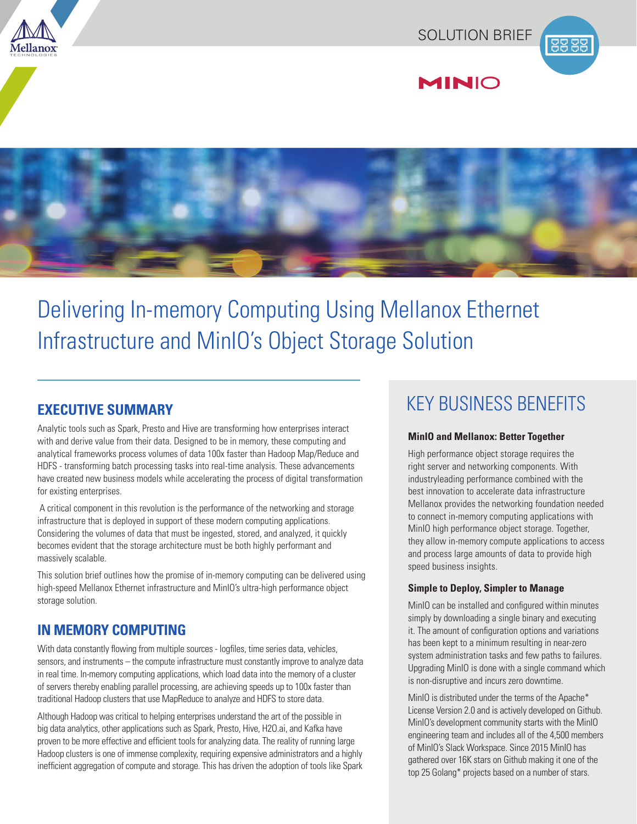







# Delivering In-memory Computing Using Mellanox Ethernet Infrastructure and MinIO's Object Storage Solution

Analytic tools such as Spark, Presto and Hive are transforming how enterprises interact with and derive value from their data. Designed to be in memory, these computing and analytical frameworks process volumes of data 100x faster than Hadoop Map/Reduce and HDFS - transforming batch processing tasks into real-time analysis. These advancements have created new business models while accelerating the process of digital transformation for existing enterprises.

 A critical component in this revolution is the performance of the networking and storage infrastructure that is deployed in support of these modern computing applications. Considering the volumes of data that must be ingested, stored, and analyzed, it quickly becomes evident that the storage architecture must be both highly performant and massively scalable.

This solution brief outlines how the promise of in-memory computing can be delivered using high-speed Mellanox Ethernet infrastructure and MinIO's ultra-high performance object storage solution.

# **IN MEMORY COMPUTING**

With data constantly flowing from multiple sources - logfiles, time series data, vehicles, sensors, and instruments – the compute infrastructure must constantly improve to analyze data in real time. In-memory computing applications, which load data into the memory of a cluster of servers thereby enabling parallel processing, are achieving speeds up to 100x faster than traditional Hadoop clusters that use MapReduce to analyze and HDFS to store data.

Although Hadoop was critical to helping enterprises understand the art of the possible in big data analytics, other applications such as Spark, Presto, Hive, H2O.ai, and Kafka have proven to be more effective and efficient tools for analyzing data. The reality of running large Hadoop clusters is one of immense complexity, requiring expensive administrators and a highly inefficient aggregation of compute and storage. This has driven the adoption of tools like Spark

# **EXECUTIVE SUMMARY** EXECUTIVE SUMMARY

#### **MinIO and Mellanox: Better Together**

High performance object storage requires the right server and networking components. With industryleading performance combined with the best innovation to accelerate data infrastructure Mellanox provides the networking foundation needed to connect in-memory computing applications with MinIO high performance object storage. Together, they allow in-memory compute applications to access and process large amounts of data to provide high speed business insights.

#### **Simple to Deploy, Simpler to Manage**

MinIO can be installed and configured within minutes simply by downloading a single binary and executing it. The amount of configuration options and variations has been kept to a minimum resulting in near-zero system administration tasks and few paths to failures. Upgrading MinIO is done with a single command which is non-disruptive and incurs zero downtime.

MinIO is distributed under the terms of the Apache\* License Version 2.0 and is actively developed on Github. MinIO's development community starts with the MinIO engineering team and includes all of the 4,500 members of MinIO's Slack Workspace. Since 2015 MinIO has gathered over 16K stars on Github making it one of the top 25 Golang\* projects based on a number of stars.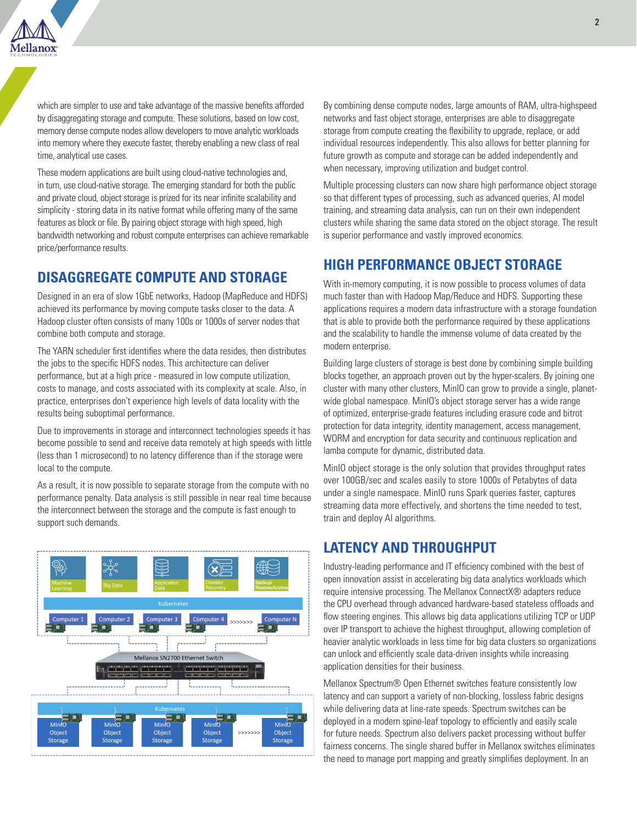

which are simpler to use and take advantage of the massive benefits afforded by disaggregating storage and compute. These solutions, based on low cost, memory dense compute nodes allow developers to move analytic workloads into memory where they execute faster, thereby enabling a new class of real time, analytical use cases.

These modern applications are built using cloud-native technologies and, in turn, use cloud-native storage. The emerging standard for both the public and private cloud, object storage is prized for its near infinite scalability and simplicity - storing data in its native format while offering many of the same features as block or file. By pairing object storage with high speed, high bandwidth networking and robust compute enterprises can achieve remarkable price/performance results.

## **DISAGGREGATE COMPUTE AND STORAGE**

Designed in an era of slow 1GbE networks, Hadoop (MapReduce and HDFS) achieved its performance by moving compute tasks closer to the data. A Hadoop cluster often consists of many 100s or 1000s of server nodes that combine both compute and storage.

The YARN scheduler first identifies where the data resides, then distributes the jobs to the specific HDFS nodes. This architecture can deliver performance, but at a high price - measured in low compute utilization, costs to manage, and costs associated with its complexity at scale. Also, in practice, enterprises don't experience high levels of data locality with the results being suboptimal performance.

Due to improvements in storage and interconnect technologies speeds it has become possible to send and receive data remotely at high speeds with little (less than 1 microsecond) to no latency difference than if the storage were local to the compute.

As a result, it is now possible to separate storage from the compute with no performance penalty. Data analysis is still possible in near real time because the interconnect between the storage and the compute is fast enough to support such demands.



By combining dense compute nodes, large amounts of RAM, ultra-highspeed networks and fast object storage, enterprises are able to disaggregate storage from compute creating the flexibility to upgrade, replace, or add individual resources independently. This also allows for better planning for future growth as compute and storage can be added independently and when necessary, improving utilization and budget control.

Multiple processing clusters can now share high performance object storage so that different types of processing, such as advanced queries, AI model training, and streaming data analysis, can run on their own independent clusters while sharing the same data stored on the object storage. The result is superior performance and vastly improved economics.

## **HIGH PERFORMANCE OBJECT STORAGE**

With in-memory computing, it is now possible to process volumes of data much faster than with Hadoop Map/Reduce and HDFS. Supporting these applications requires a modern data infrastructure with a storage foundation that is able to provide both the performance required by these applications and the scalability to handle the immense volume of data created by the modern enterprise.

Building large clusters of storage is best done by combining simple building blocks together, an approach proven out by the hyper-scalers. By joining one cluster with many other clusters, MinIO can grow to provide a single, planetwide global namespace. MinIO's object storage server has a wide range of optimized, enterprise-grade features including erasure code and bitrot protection for data integrity, identity management, access management, WORM and encryption for data security and continuous replication and lamba compute for dynamic, distributed data.

MinIO object storage is the only solution that provides throughput rates over 100GB/sec and scales easily to store 1000s of Petabytes of data under a single namespace. MinIO runs Spark queries faster, captures streaming data more effectively, and shortens the time needed to test, train and deploy AI algorithms.

# **LATENCY AND THROUGHPUT**

Industry-leading performance and IT efficiency combined with the best of open innovation assist in accelerating big data analytics workloads which require intensive processing. The Mellanox ConnectX® adapters reduce the CPU overhead through advanced hardware-based stateless offloads and flow steering engines. This allows big data applications utilizing TCP or UDP over IP transport to achieve the highest throughput, allowing completion of heavier analytic workloads in less time for big data clusters so organizations can unlock and efficiently scale data-driven insights while increasing application densities for their business.

Mellanox Spectrum® Open Ethernet switches feature consistently low latency and can support a variety of non-blocking, lossless fabric designs while delivering data at line-rate speeds. Spectrum switches can be deployed in a modern spine-leaf topology to efficiently and easily scale for future needs. Spectrum also delivers packet processing without buffer fairness concerns. The single shared buffer in Mellanox switches eliminates the need to manage port mapping and greatly simplifies deployment. In an